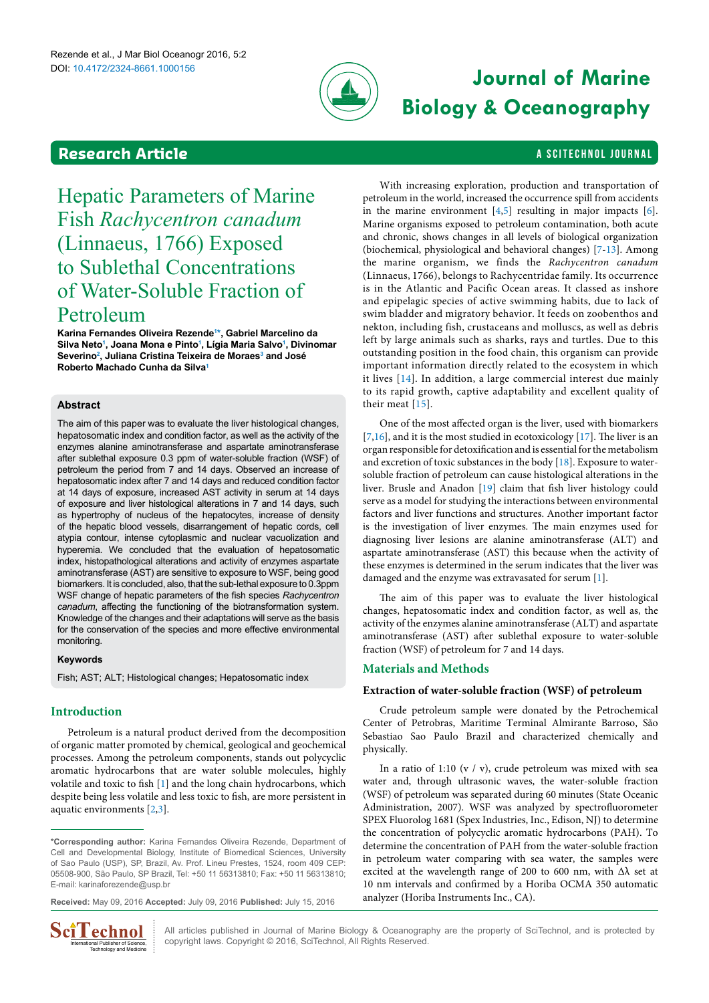

# **Journal of Marine Biology & Oceanography**

With increasing exploration, production and transportation of petroleum in the world, increased the occurrence spill from accidents in the marine environment  $[4,5]$  $[4,5]$  resulting in major impacts  $[6]$ . Marine organisms exposed to petroleum contamination, both acute and chronic, shows changes in all levels of biological organization (biochemical, physiological and behavioral changes) [\[7-](#page-4-6)[13\]](#page-4-7). Among the marine organism, we finds the *Rachycentron canadum* (Linnaeus, 1766), belongs to Rachycentridae family. Its occurrence is in the Atlantic and Pacific Ocean areas. It classed as inshore and epipelagic species of active swimming habits, due to lack of

## <span id="page-0-1"></span>**Research Article a Scitechnol journal and a Scitechnol journal and a Scitechnol journal**

# Hepatic Parameters of Marine Fish *Rachycentron canadum* (Linnaeus, 1766) Exposed to Sublethal Concentrations of Water-Soluble Fraction of Petroleum

**Karina Fernandes Oliveira Rezende[1](#page-5-0) [\\*](#page-0-0), Gabriel Marcelino da Silva Net[o1](#page-5-0) , Joana Mona e Pinto[1](#page-5-0) , Lígia Maria Salv[o1](#page-5-0) , Divinomar Severin[o2](#page-5-1) , Juliana Cristina Teixeira de Moraes[3](#page-5-2) and José Roberto Machado Cunha da Silv[a1](#page-5-0)**

#### **Abstract**

The aim of this paper was to evaluate the liver histological changes, hepatosomatic index and condition factor, as well as the activity of the enzymes alanine aminotransferase and aspartate aminotransferase after sublethal exposure 0.3 ppm of water-soluble fraction (WSF) of petroleum the period from 7 and 14 days. Observed an increase of hepatosomatic index after 7 and 14 days and reduced condition factor at 14 days of exposure, increased AST activity in serum at 14 days of exposure and liver histological alterations in 7 and 14 days, such as hypertrophy of nucleus of the hepatocytes, increase of density of the hepatic blood vessels, disarrangement of hepatic cords, cell atypia contour, intense cytoplasmic and nuclear vacuolization and hyperemia. We concluded that the evaluation of hepatosomatic index, histopathological alterations and activity of enzymes aspartate aminotransferase (AST) are sensitive to exposure to WSF, being good biomarkers. It is concluded, also, that the sub-lethal exposure to 0.3ppm WSF change of hepatic parameters of the fish species *Rachycentron canadum*, affecting the functioning of the biotransformation system. Knowledge of the changes and their adaptations will serve as the basis for the conservation of the species and more effective environmental monitoring.

#### **Keywords**

Fish; AST; ALT; Histological changes; Hepatosomatic index

### **Introduction**

Petroleum is a natural product derived from the decomposition of organic matter promoted by chemical, geological and geochemical processes. Among the petroleum components, stands out polycyclic aromatic hydrocarbons that are water soluble molecules, highly volatile and toxic to fish [[1](#page-4-0)] and the long chain hydrocarbons, which despite being less volatile and less toxic to fish, are more persistent in aquatic environments [\[2,](#page-4-1)[3\]](#page-4-2).

**Received:** May 09, 2016 **Accepted:** July 09, 2016 **Published:** July 15, 2016



swim bladder and migratory behavior. It feeds on zoobenthos and nekton, including fish, crustaceans and molluscs, as well as debris left by large animals such as sharks, rays and turtles. Due to this outstanding position in the food chain, this organism can provide important information directly related to the ecosystem in which it lives [\[14](#page-4-8)]. In addition, a large commercial interest due mainly to its rapid growth, captive adaptability and excellent quality of their meat [[15](#page-4-9)]. One of the most affected organ is the liver, used with biomarkers [[7](#page-4-6)[,16\]](#page-4-10), and it is the most studied in ecotoxicology [[17](#page-4-11)]. The liver is an organ responsible for detoxification and is essential for the metabolism and excretion of toxic substances in the body [\[18\]](#page-4-12). Exposure to water-

soluble fraction of petroleum can cause histological alterations in the liver. Brusle and Anadon [[19\]](#page-4-13) claim that fish liver histology could serve as a model for studying the interactions between environmental factors and liver functions and structures. Another important factor is the investigation of liver enzymes. The main enzymes used for diagnosing liver lesions are alanine aminotransferase (ALT) and aspartate aminotransferase (AST) this because when the activity of these enzymes is determined in the serum indicates that the liver was damaged and the enzyme was extravasated for serum [\[1\]](#page-4-0).

The aim of this paper was to evaluate the liver histological changes, hepatosomatic index and condition factor, as well as, the activity of the enzymes alanine aminotransferase (ALT) and aspartate aminotransferase (AST) after sublethal exposure to water-soluble fraction (WSF) of petroleum for 7 and 14 days.

### **Materials and Methods**

#### **Extraction of water-soluble fraction (WSF) of petroleum**

Crude petroleum sample were donated by the Petrochemical Center of Petrobras, Maritime Terminal Almirante Barroso, São Sebastiao Sao Paulo Brazil and characterized chemically and physically.

In a ratio of 1:10 (v / v), crude petroleum was mixed with sea water and, through ultrasonic waves, the water-soluble fraction (WSF) of petroleum was separated during 60 minutes (State Oceanic Administration, 2007). WSF was analyzed by spectrofluorometer SPEX Fluorolog 1681 (Spex Industries, Inc., Edison, NJ) to determine the concentration of polycyclic aromatic hydrocarbons (PAH). To determine the concentration of PAH from the water-soluble fraction in petroleum water comparing with sea water, the samples were excited at the wavelength range of 200 to 600 nm, with  $\Delta\lambda$  set at 10 nm intervals and confirmed by a Horiba OCMA 350 automatic analyzer (Horiba Instruments Inc., CA).

All articles published in Journal of Marine Biology & Oceanography are the property of SciTechnol, and is protected by copyright laws. Copyright © 2016, SciTechnol, All Rights Reserved.

<span id="page-0-0"></span>**<sup>\*</sup>Corresponding author:** Karina Fernandes Oliveira Rezende, Department of Cell and Developmental Biology, Institute of Biomedical Sciences, University of Sao Paulo (USP), SP, Brazil, Av. Prof. Lineu Prestes, 1524, room 409 CEP: 05508-900, São Paulo, SP Brazil, Tel: +50 11 56313810; Fax: +50 11 56313810; E-mail: karinaforezende@usp.br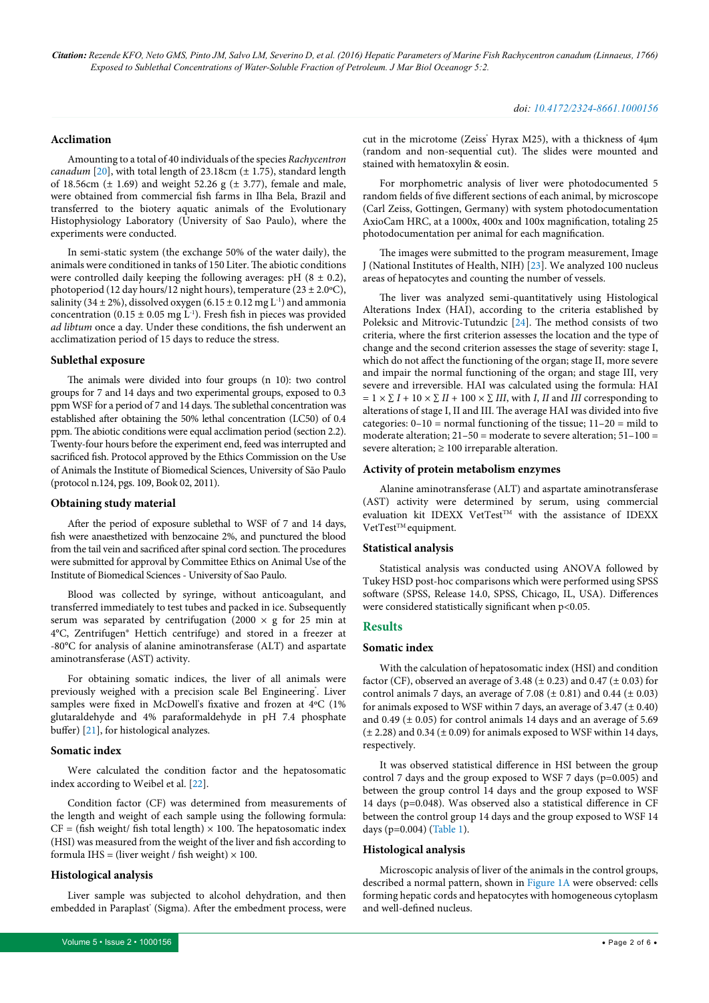#### **Acclimation**

Amounting to a total of 40 individuals of the species *Rachycentron canadum* [\[20\]](#page-4-14), with total length of 23.18cm ( $\pm$  1.75), standard length of 18.56cm  $(\pm 1.69)$  and weight 52.26 g  $(\pm 3.77)$ , female and male, were obtained from commercial fish farms in Ilha Bela, Brazil and transferred to the biotery aquatic animals of the Evolutionary Histophysiology Laboratory (University of Sao Paulo), where the experiments were conducted.

In semi-static system (the exchange 50% of the water daily), the animals were conditioned in tanks of 150 Liter. The abiotic conditions were controlled daily keeping the following averages: pH  $(8 \pm 0.2)$ , photoperiod (12 day hours/12 night hours), temperature (23  $\pm$  2.0°C), salinity (34  $\pm$  2%), dissolved oxygen (6.15  $\pm$  0.12 mg L<sup>-1</sup>) and ammonia concentration (0.15  $\pm$  0.05 mg L<sup>-1</sup>). Fresh fish in pieces was provided *ad libtum* once a day. Under these conditions, the fish underwent an acclimatization period of 15 days to reduce the stress.

#### **Sublethal exposure**

The animals were divided into four groups (n 10): two control groups for 7 and 14 days and two experimental groups, exposed to 0.3 ppm WSF for a period of 7 and 14 days. The sublethal concentration was established after obtaining the 50% lethal concentration (LC50) of 0.4 ppm. The abiotic conditions were equal acclimation period (section 2.2). Twenty-four hours before the experiment end, feed was interrupted and sacrificed fish. Protocol approved by the Ethics Commission on the Use of Animals the Institute of Biomedical Sciences, University of São Paulo (protocol n.124, pgs. 109, Book 02, 2011).

#### **Obtaining study material**

After the period of exposure sublethal to WSF of 7 and 14 days, fish were anaesthetized with benzocaine 2%, and punctured the blood from the tail vein and sacrificed after spinal cord section. The procedures were submitted for approval by Committee Ethics on Animal Use of the Institute of Biomedical Sciences - University of Sao Paulo.

Blood was collected by syringe, without anticoagulant, and transferred immediately to test tubes and packed in ice. Subsequently serum was separated by centrifugation (2000  $\times$  g for 25 min at 4°C, Zentrifugen® Hettich centrifuge) and stored in a freezer at -80°C for analysis of alanine aminotransferase (ALT) and aspartate aminotransferase (AST) activity.

For obtaining somatic indices, the liver of all animals were previously weighed with a precision scale Bel Engineering°. Liver samples were fixed in McDowell's fixative and frozen at 4ºC (1% glutaraldehyde and 4% paraformaldehyde in pH 7.4 phosphate buffer) [\[21\]](#page-4-15), for histological analyzes.

#### **Somatic index**

Were calculated the condition factor and the hepatosomatic index according to Weibel et al. [[22](#page-4-16)].

Condition factor (CF) was determined from measurements of the length and weight of each sample using the following formula:  $CF = (fish weight/ fish total length) \times 100$ . The hepatosomatic index (HSI) was measured from the weight of the liver and fish according to formula IHS = (liver weight / fish weight)  $\times$  100.

#### **Histological analysis**

Liver sample was subjected to alcohol dehydration, and then embedded in Paraplast' (Sigma). After the embedment process, were

cut in the microtome (Zeiss<sup>\*</sup> Hyrax M25), with a thickness of 4μm (random and non-sequential cut). The slides were mounted and stained with hematoxylin & eosin.

For morphometric analysis of liver were photodocumented 5 random fields of five different sections of each animal, by microscope (Carl Zeiss, Gottingen, Germany) with system photodocumentation AxioCam HRC, at a 1000x, 400x and 100x magnification, totaling 25 photodocumentation per animal for each magnification.

The images were submitted to the program measurement, Image J (National Institutes of Health, NIH) [[23](#page-4-17)]. We analyzed 100 nucleus areas of hepatocytes and counting the number of vessels.

The liver was analyzed semi-quantitatively using Histological Alterations Index (HAI), according to the criteria established by Poleksic and Mitrovic-Tutundzic [[24](#page-4-18)]. The method consists of two criteria, where the first criterion assesses the location and the type of change and the second criterion assesses the stage of severity: stage I, which do not affect the functioning of the organ; stage II, more severe and impair the normal functioning of the organ; and stage III, very severe and irreversible. HAI was calculated using the formula: HAI  $= 1 \times \sum I + 10 \times \sum II + 100 \times \sum III$ , with *I*, *II* and *III* corresponding to alterations of stage I, II and III. The average HAI was divided into five categories: 0–10 = normal functioning of the tissue; 11–20 = mild to moderate alteration;  $21-50$  = moderate to severe alteration;  $51-100$  = severe alteration;  $\geq 100$  irreparable alteration.

#### **Activity of protein metabolism enzymes**

Alanine aminotransferase (ALT) and aspartate aminotransferase (AST) activity were determined by serum, using commercial evaluation kit IDEXX VetTest<sup>TM</sup> with the assistance of IDEXX VetTest<sup>™</sup> equipment.

#### **Statistical analysis**

Statistical analysis was conducted using ANOVA followed by Tukey HSD post-hoc comparisons which were performed using SPSS software (SPSS, Release 14.0, SPSS, Chicago, IL, USA). Differences were considered statistically significant when p<0.05.

#### **Results**

#### **Somatic index**

With the calculation of hepatosomatic index (HSI) and condition factor (CF), observed an average of 3.48 ( $\pm$  0.23) and 0.47 ( $\pm$  0.03) for control animals 7 days, an average of 7.08  $(\pm 0.81)$  and 0.44  $(\pm 0.03)$ for animals exposed to WSF within 7 days, an average of 3.47  $(\pm 0.40)$ and 0.49 ( $\pm$  0.05) for control animals 14 days and an average of 5.69  $(\pm 2.28)$  and 0.34  $(\pm 0.09)$  for animals exposed to WSF within 14 days, respectively.

It was observed statistical difference in HSI between the group control 7 days and the group exposed to WSF 7 days (p=0.005) and between the group control 14 days and the group exposed to WSF 14 days (p=0.048). Was observed also a statistical difference in CF between the control group 14 days and the group exposed to WSF 14 days (p=0.004) ([Table 1](#page-2-0)).

#### **Histological analysis**

Microscopic analysis of liver of the animals in the control groups, described a normal pattern, shown in [Figure 1A](#page-3-0) were observed: cells forming hepatic cords and hepatocytes with homogeneous cytoplasm and well-defined nucleus.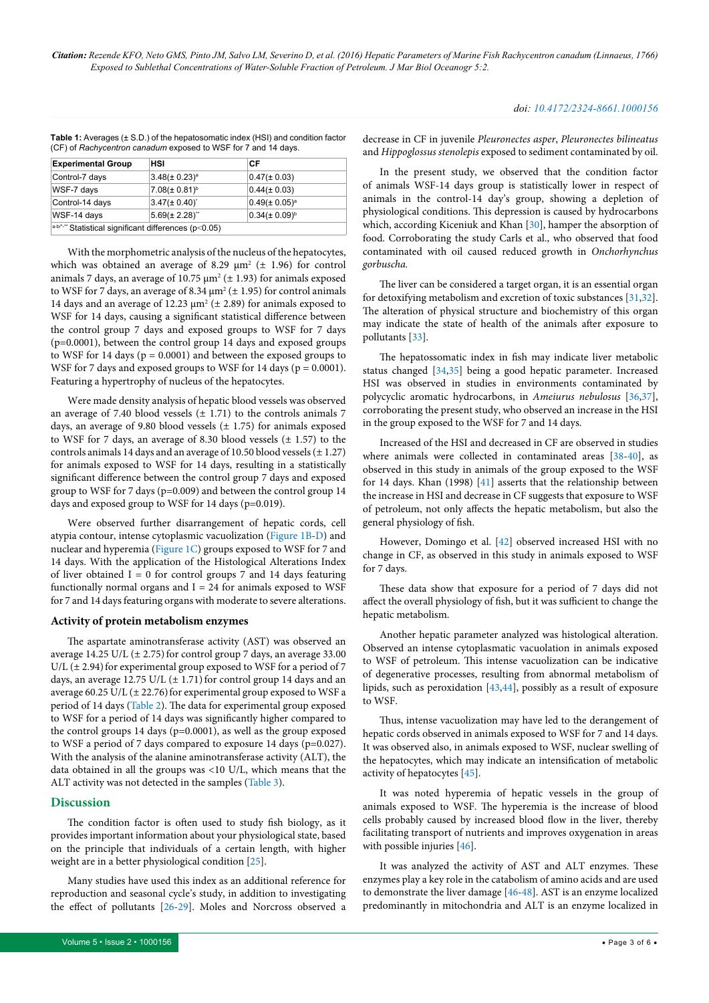| <b>Experimental Group</b>                                    | <b>HSI</b>            | СF                    |  |  |
|--------------------------------------------------------------|-----------------------|-----------------------|--|--|
| Control-7 days                                               | $3.48(\pm 0.23)^a$    | $0.47 (\pm 0.03)$     |  |  |
| WSF-7 days                                                   | $7.08(\pm 0.81)^b$    | $0.44(\pm 0.03)$      |  |  |
| Control-14 days                                              | $3.47 (\pm 0.40)^{4}$ | $0.49(\pm 0.05)^a$    |  |  |
| WSF-14 days                                                  | $5.69(\pm 2.28)^{4}$  | $0.34 (\pm 0.09)^{b}$ |  |  |
| $a$ -b/*-** Statistical significant differences ( $p$ <0.05) |                       |                       |  |  |

<span id="page-2-0"></span>**Table 1:** Averages (± S.D.) of the hepatosomatic index (HSI) and condition factor (CF) of *Rachycentron canadum* exposed to WSF for 7 and 14 days.

With the morphometric analysis of the nucleus of the hepatocytes, which was obtained an average of 8.29  $\mu$ m<sup>2</sup> ( $\pm$  1.96) for control animals 7 days, an average of 10.75  $\mu$ m<sup>2</sup> ( $\pm$  1.93) for animals exposed to WSF for 7 days, an average of 8.34  $\mu$ m<sup>2</sup> ( $\pm$  1.95) for control animals 14 days and an average of 12.23  $\mu$ m<sup>2</sup> ( $\pm$  2.89) for animals exposed to WSF for 14 days, causing a significant statistical difference between the control group 7 days and exposed groups to WSF for 7 days (p=0.0001), between the control group 14 days and exposed groups to WSF for 14 days ( $p = 0.0001$ ) and between the exposed groups to WSF for 7 days and exposed groups to WSF for 14 days ( $p = 0.0001$ ). Featuring a hypertrophy of nucleus of the hepatocytes.

Were made density analysis of hepatic blood vessels was observed an average of 7.40 blood vessels  $(\pm 1.71)$  to the controls animals 7 days, an average of 9.80 blood vessels  $(\pm 1.75)$  for animals exposed to WSF for 7 days, an average of 8.30 blood vessels  $(\pm 1.57)$  to the controls animals 14 days and an average of 10.50 blood vessels  $(\pm 1.27)$ for animals exposed to WSF for 14 days, resulting in a statistically significant difference between the control group 7 days and exposed group to WSF for 7 days (p=0.009) and between the control group 14 days and exposed group to WSF for 14 days (p=0.019).

Were observed further disarrangement of hepatic cords, cell atypia contour, intense cytoplasmic vacuolization ([Figure 1B-D\)](#page-3-0) and nuclear and hyperemia [\(Figure 1C\)](#page-3-0) groups exposed to WSF for 7 and 14 days. With the application of the Histological Alterations Index of liver obtained  $I = 0$  for control groups 7 and 14 days featuring functionally normal organs and  $I = 24$  for animals exposed to WSF for 7 and 14 days featuring organs with moderate to severe alterations.

#### **Activity of protein metabolism enzymes**

The aspartate aminotransferase activity (AST) was observed an average 14.25 U/L  $(\pm 2.75)$  for control group 7 days, an average 33.00 U/L  $(\pm 2.94)$  for experimental group exposed to WSF for a period of 7 days, an average 12.75 U/L  $(\pm 1.71)$  for control group 14 days and an average 60.25 U/L ( $\pm$  22.76) for experimental group exposed to WSF a period of 14 days ([Table 2](#page-3-1)). The data for experimental group exposed to WSF for a period of 14 days was significantly higher compared to the control groups 14 days (p=0.0001), as well as the group exposed to WSF a period of 7 days compared to exposure 14 days (p=0.027). With the analysis of the alanine aminotransferase activity (ALT), the data obtained in all the groups was <10 U/L, which means that the ALT activity was not detected in the samples [\(Table 3\)](#page-3-2).

#### **Discussion**

The condition factor is often used to study fish biology, as it provides important information about your physiological state, based on the principle that individuals of a certain length, with higher weight are in a better physiological condition [\[25\]](#page-4-19).

Many studies have used this index as an additional reference for reproduction and seasonal cycle's study, in addition to investigating the effect of pollutants [[26](#page-4-20)-[29](#page-4-21)]. Moles and Norcross observed a

decrease in CF in juvenile *Pleuronectes asper*, *Pleuronectes bilineatus*  and *Hippoglossus stenolepis* exposed to sediment contaminated by oil.

In the present study, we observed that the condition factor of animals WSF-14 days group is statistically lower in respect of animals in the control-14 day's group, showing a depletion of physiological conditions. This depression is caused by hydrocarbons which, according Kiceniuk and Khan [[30](#page-4-22)], hamper the absorption of food. Corroborating the study Carls et al., who observed that food contaminated with oil caused reduced growth in *Onchorhynchus gorbuscha.*

The liver can be considered a target organ, it is an essential organ for detoxifying metabolism and excretion of toxic substances [\[31,](#page-4-23)[32\]](#page-4-24). The alteration of physical structure and biochemistry of this organ may indicate the state of health of the animals after exposure to pollutants [\[33\]](#page-4-25).

The hepatossomatic index in fish may indicate liver metabolic status changed [\[34,](#page-4-26)[35\]](#page-4-27) being a good hepatic parameter. Increased HSI was observed in studies in environments contaminated by polycyclic aromatic hydrocarbons, in *Ameiurus nebulosus* [\[36,](#page-4-28)[37\]](#page-4-29), corroborating the present study, who observed an increase in the HSI in the group exposed to the WSF for 7 and 14 days.

Increased of the HSI and decreased in CF are observed in studies where animals were collected in contaminated areas [\[38-](#page-4-30)[40\]](#page-4-31), as observed in this study in animals of the group exposed to the WSF for 14 days. Khan (1998) [\[41](#page-5-3)] asserts that the relationship between the increase in HSI and decrease in CF suggests that exposure to WSF of petroleum, not only affects the hepatic metabolism, but also the general physiology of fish.

However, Domingo et al. [[42\]](#page-5-4) observed increased HSI with no change in CF, as observed in this study in animals exposed to WSF for 7 days.

These data show that exposure for a period of 7 days did not affect the overall physiology of fish, but it was sufficient to change the hepatic metabolism.

Another hepatic parameter analyzed was histological alteration. Observed an intense cytoplasmatic vacuolation in animals exposed to WSF of petroleum. This intense vacuolization can be indicative of degenerative processes, resulting from abnormal metabolism of lipids, such as peroxidation [\[43,](#page-5-5)[44](#page-5-6)], possibly as a result of exposure to WSF.

Thus, intense vacuolization may have led to the derangement of hepatic cords observed in animals exposed to WSF for 7 and 14 days. It was observed also, in animals exposed to WSF, nuclear swelling of the hepatocytes, which may indicate an intensification of metabolic activity of hepatocytes [\[45\]](#page-5-7).

It was noted hyperemia of hepatic vessels in the group of animals exposed to WSF. The hyperemia is the increase of blood cells probably caused by increased blood flow in the liver, thereby facilitating transport of nutrients and improves oxygenation in areas with possible injuries [\[46](#page-5-8)].

It was analyzed the activity of AST and ALT enzymes. These enzymes play a key role in the catabolism of amino acids and are used to demonstrate the liver damage [\[46](#page-5-8)[-48\]](#page-5-9). AST is an enzyme localized predominantly in mitochondria and ALT is an enzyme localized in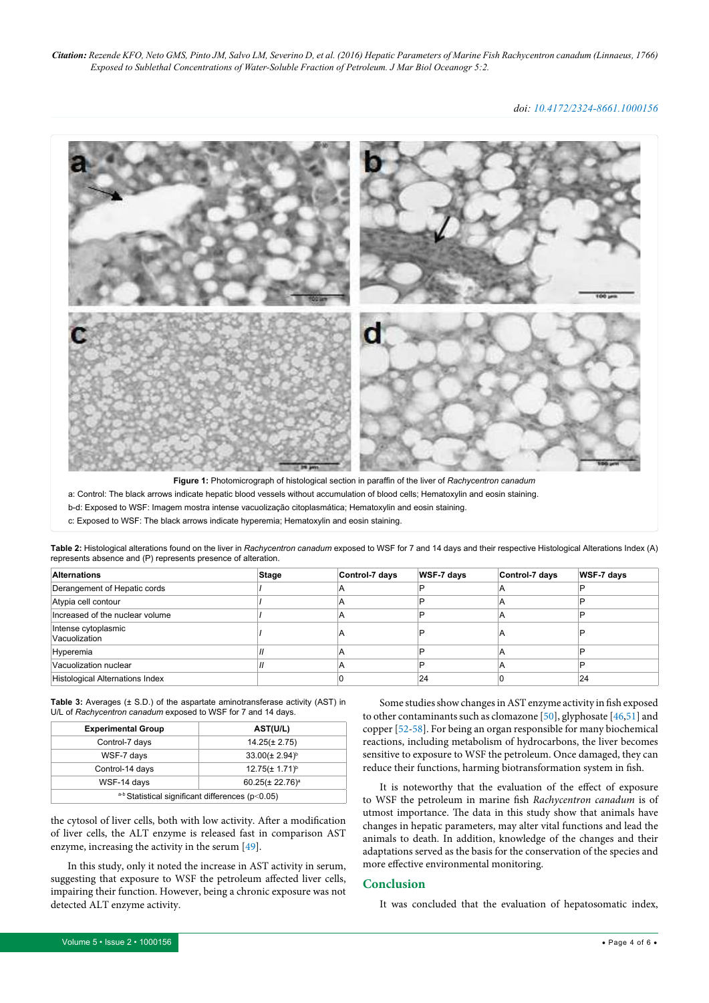*doi: 10.4172/2324-8661.1000156*

<span id="page-3-0"></span>

**Figure 1:** Photomicrograph of histological section in paraffin of the liver of *Rachycentron canadum*

a: Control: The black arrows indicate hepatic blood vessels without accumulation of blood cells; Hematoxylin and eosin staining.

b-d: Exposed to WSF: Imagem mostra intense vacuolização citoplasmática; Hematoxylin and eosin staining.

c: Exposed to WSF: The black arrows indicate hyperemia; Hematoxylin and eosin staining.

<span id="page-3-1"></span>**Table 2:** Histological alterations found on the liver in *Rachycentron canadum* exposed to WSF for 7 and 14 days and their respective Histological Alterations Index (A) represents absence and (P) represents presence of alteration.

| <b>Alternations</b>                    | Stage | Control-7 days | WSF-7 days | Control-7 days | WSF-7 days |
|----------------------------------------|-------|----------------|------------|----------------|------------|
| Derangement of Hepatic cords           |       |                | D          |                |            |
| Atypia cell contour                    |       |                |            |                |            |
| Increased of the nuclear volume        |       |                |            | ◠              |            |
| Intense cytoplasmic<br>Vacuolization   |       |                |            | A              |            |
| Hyperemia                              |       |                |            | Α              |            |
| Vacuolization nuclear                  |       |                |            | А              |            |
| <b>Histological Alternations Index</b> |       |                | 24         |                | 24         |

<span id="page-3-2"></span>**Table 3:** Averages (± S.D.) of the aspartate aminotransferase activity (AST) in U/L of *Rachycentron canadum* exposed to WSF for 7 and 14 days.

| <b>Experimental Group</b>                        | AST(U/L)              |  |  |
|--------------------------------------------------|-----------------------|--|--|
| Control-7 days                                   | $14.25(\pm 2.75)$     |  |  |
| WSF-7 days                                       | $33.00(\pm 2.94)^{b}$ |  |  |
| Control-14 days                                  | $12.75(\pm 1.71)^{b}$ |  |  |
| WSF-14 days                                      | $60.25(\pm 22.76)^a$  |  |  |
| a-b Statistical significant differences (p<0.05) |                       |  |  |

the cytosol of liver cells, both with low activity. After a modification of liver cells, the ALT enzyme is released fast in comparison AST enzyme, increasing the activity in the serum [\[49\]](#page-5-10).

In this study, only it noted the increase in AST activity in serum, suggesting that exposure to WSF the petroleum affected liver cells, impairing their function. However, being a chronic exposure was not detected ALT enzyme activity.

Some studies show changes in AST enzyme activity in fish exposed to other contaminants such as clomazone [[50](#page-5-11)], glyphosate [\[46,](#page-5-8)[51](#page-5-12)] and copper [[52](#page-5-13)[-58](#page-5-14)]. For being an organ responsible for many biochemical reactions, including metabolism of hydrocarbons, the liver becomes sensitive to exposure to WSF the petroleum. Once damaged, they can reduce their functions, harming biotransformation system in fish.

It is noteworthy that the evaluation of the effect of exposure to WSF the petroleum in marine fish *Rachycentron canadum* is of utmost importance. The data in this study show that animals have changes in hepatic parameters, may alter vital functions and lead the animals to death. In addition, knowledge of the changes and their adaptations served as the basis for the conservation of the species and more effective environmental monitoring.

#### **Conclusion**

It was concluded that the evaluation of hepatosomatic index,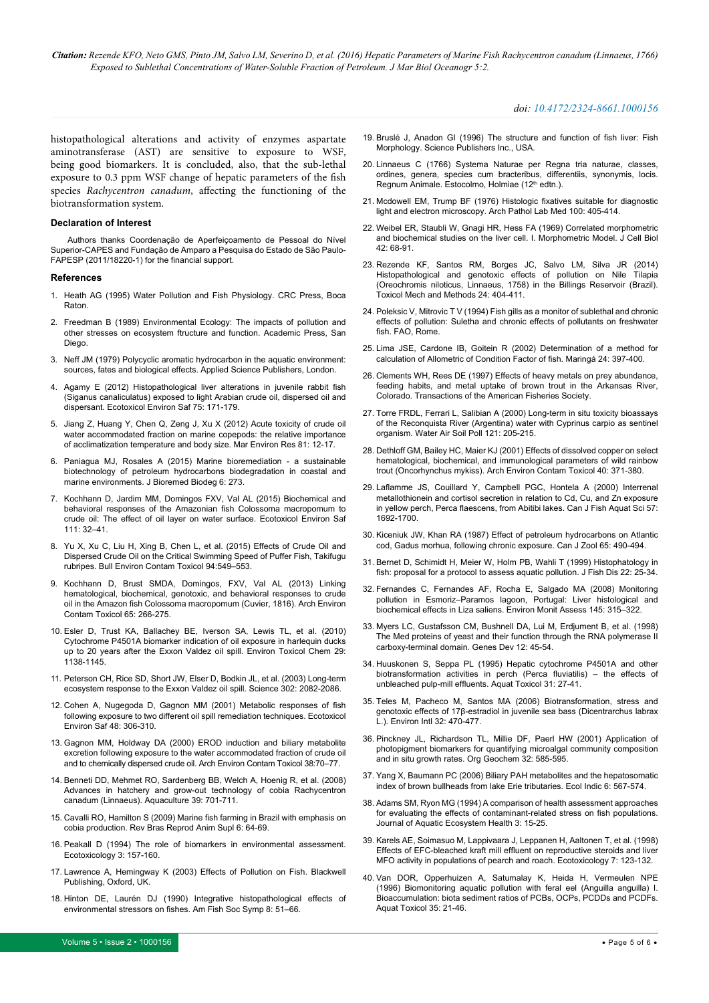#### *doi: 10.4172/2324-8661.1000156*

histopathological alterations and activity of enzymes aspartate aminotransferase (AST) are sensitive to exposure to WSF, being good biomarkers. It is concluded, also, that the sub-lethal exposure to 0.3 ppm WSF change of hepatic parameters of the fish species *Rachycentron canadum*, affecting the functioning of the biotransformation system.

#### **Declaration of Interest**

Authors thanks Coordenação de Aperfeiçoamento de Pessoal do Nível Superior-CAPES and Fundação de Amparo a Pesquisa do Estado de São Paulo-FAPESP (2011/18220-1) for the financial support.

#### **References**

- <span id="page-4-0"></span>1. [Heath AG \(1995\) Water Pollution and Fish Physiology. CRC Press, Boca](https://www.crcpress.com/Water-Pollution-and-Fish-Physiology/Heath/p/book/9780873716321)  [Raton.](https://www.crcpress.com/Water-Pollution-and-Fish-Physiology/Heath/p/book/9780873716321)
- <span id="page-4-1"></span>2. [Freedman B \(1989\) Environmental Ecology: The impacts of pollution and](https://books.google.co.in/books?id=ahslBQAAQBAJ&pg=PR4&dq=Environmental+Ecology:+The+Impacts+of+Pollution+and+other+Stresses+on+Ecosystem+Structure+and+Function.+Academic+Press,+San+Diego.&hl=en&sa=X&ved=0ahUKEwjr27nPq_LNAhUIPI8KHS7BAPMQ6AEIHTAA#v=onepage&q=Environmental Ecology%3A The Impacts of Pollution and other Stresses on Ecosystem Structure and Function. Academic Press%2C San Diego.&f=false)  [other stresses on ecosystem ftructure and function. Academic Press, San](https://books.google.co.in/books?id=ahslBQAAQBAJ&pg=PR4&dq=Environmental+Ecology:+The+Impacts+of+Pollution+and+other+Stresses+on+Ecosystem+Structure+and+Function.+Academic+Press,+San+Diego.&hl=en&sa=X&ved=0ahUKEwjr27nPq_LNAhUIPI8KHS7BAPMQ6AEIHTAA#v=onepage&q=Environmental Ecology%3A The Impacts of Pollution and other Stresses on Ecosystem Structure and Function. Academic Press%2C San Diego.&f=false)  [Diego.](https://books.google.co.in/books?id=ahslBQAAQBAJ&pg=PR4&dq=Environmental+Ecology:+The+Impacts+of+Pollution+and+other+Stresses+on+Ecosystem+Structure+and+Function.+Academic+Press,+San+Diego.&hl=en&sa=X&ved=0ahUKEwjr27nPq_LNAhUIPI8KHS7BAPMQ6AEIHTAA#v=onepage&q=Environmental Ecology%3A The Impacts of Pollution and other Stresses on Ecosystem Structure and Function. Academic Press%2C San Diego.&f=false)
- <span id="page-4-2"></span>3. [Neff JM \(1979\) Polycyclic aromatic hydrocarbon in the aquatic environment:](https://books.google.co.in/books/about/Polycyclic_aromatic_hydrocarbons_in_the.html?id=MVRRAAAAMAAJ)  [sources, fates and biological effects. Applied Science Publishers, London.](https://books.google.co.in/books/about/Polycyclic_aromatic_hydrocarbons_in_the.html?id=MVRRAAAAMAAJ)
- <span id="page-4-3"></span>4. [Agamy E \(2012\) Histopathological liver alterations in juvenile rabbit fish](http://www.ncbi.nlm.nih.gov/pubmed/21974902)  [\(Siganus canaliculatus\) exposed to light Arabian crude oil, dispersed oil and](http://www.ncbi.nlm.nih.gov/pubmed/21974902)  [dispersant. Ecotoxicol Environ Saf 75: 171-179.](http://www.ncbi.nlm.nih.gov/pubmed/21974902)
- <span id="page-4-4"></span>5. [Jiang Z, Huang Y, Chen Q, Zeng J, Xu X \(2012\) Acute toxicity of crude oil](http://www.ncbi.nlm.nih.gov/pubmed/22921874)  [water accommodated fraction on marine copepods: the relative importance](http://www.ncbi.nlm.nih.gov/pubmed/22921874)  [of acclimatization temperature and body size. Mar Environ Res 81: 12-17.](http://www.ncbi.nlm.nih.gov/pubmed/22921874)
- <span id="page-4-5"></span>6. [Paniagua MJ, Rosales A \(2015\) Marine bioremediation - a sustainable](http://www.omicsonline.org/open-access/marine-bioremediation-a-sustainable-biotechnology-of-petroleum-hydrocarbons-biodegradation-in-coastal-and-marine-environments-2155-6199.1000273.pdf)  [biotechnology of petroleum hydrocarbons biodegradation in coastal and](http://www.omicsonline.org/open-access/marine-bioremediation-a-sustainable-biotechnology-of-petroleum-hydrocarbons-biodegradation-in-coastal-and-marine-environments-2155-6199.1000273.pdf)  [marine environments. J Bioremed Biodeg 6: 273.](http://www.omicsonline.org/open-access/marine-bioremediation-a-sustainable-biotechnology-of-petroleum-hydrocarbons-biodegradation-in-coastal-and-marine-environments-2155-6199.1000273.pdf)
- <span id="page-4-6"></span>7. [Kochhann D, Jardim MM, Domingos FXV, Val AL \(2015\) Biochemical and](http://www.ncbi.nlm.nih.gov/pubmed/25450912)  [behavioral responses of the Amazonian fish Colossoma macropomum to](http://www.ncbi.nlm.nih.gov/pubmed/25450912)  [crude oil: The effect of oil layer on water surface. Ecotoxicol Environ Saf](http://www.ncbi.nlm.nih.gov/pubmed/25450912)  [111: 32–41.](http://www.ncbi.nlm.nih.gov/pubmed/25450912)
- 8. [Yu X, Xu C, Liu H, Xing B, Chen L, et al. \(2015\) Effects of Crude Oil and](http://www.ncbi.nlm.nih.gov/pubmed/25733446)  [Dispersed Crude Oil on the Critical Swimming Speed of Puffer Fish, Takifugu](http://www.ncbi.nlm.nih.gov/pubmed/25733446)  [rubripes. Bull Environ Contam Toxicol 94:549–553.](http://www.ncbi.nlm.nih.gov/pubmed/25733446)
- 9. [Kochhann D, Brust SMDA, Domingos, FXV, Val AL \(2013\) Linking](http://www.ncbi.nlm.nih.gov/pubmed/23539120)  [hematological, biochemical, genotoxic, and behavioral responses to crude](http://www.ncbi.nlm.nih.gov/pubmed/23539120)  [oil in the Amazon fish Colossoma macropomum \(Cuvier, 1816\). Arch Environ](http://www.ncbi.nlm.nih.gov/pubmed/23539120)  [Contam Toxicol 65: 266-275.](http://www.ncbi.nlm.nih.gov/pubmed/23539120)
- 10. [Esler D, Trust KA, Ballachey BE, Iverson SA, Lewis TL, et al. \(2010\)](http://www.ncbi.nlm.nih.gov/pubmed/20821550)  [Cytochrome P4501A biomarker indication of oil exposure in harlequin ducks](http://www.ncbi.nlm.nih.gov/pubmed/20821550)  [up to 20 years after the Exxon Valdez oil spill. Environ Toxicol Chem 29:](http://www.ncbi.nlm.nih.gov/pubmed/20821550)  [1138-1145.](http://www.ncbi.nlm.nih.gov/pubmed/20821550)
- 11. [Peterson CH, Rice SD, Short JW, Elser D, Bodkin JL, et al. \(2003\) Long-term](http://www.ncbi.nlm.nih.gov/pubmed/14684812)  [ecosystem response to the Exxon Valdez oil spill. Science 302: 2082-2086.](http://www.ncbi.nlm.nih.gov/pubmed/14684812)
- 12. [Cohen A, Nugegoda D, Gagnon MM \(2001\) Metabolic responses of fish](http://www.ncbi.nlm.nih.gov/pubmed/11222041)  [following exposure to two different oil spill remediation techniques. Ecotoxicol](http://www.ncbi.nlm.nih.gov/pubmed/11222041)  [Environ Saf 48: 306-310.](http://www.ncbi.nlm.nih.gov/pubmed/11222041)
- <span id="page-4-7"></span>13. [Gagnon MM, Holdway DA \(2000\) EROD induction and biliary metabolite](http://www.ncbi.nlm.nih.gov/pubmed/10556373)  [excretion following exposure to the water accommodated fraction of crude oil](http://www.ncbi.nlm.nih.gov/pubmed/10556373)  [and to chemically dispersed crude oil. Arch Environ Contam Toxicol 38:70–77.](http://www.ncbi.nlm.nih.gov/pubmed/10556373)
- <span id="page-4-8"></span>14. [Benneti DD, Mehmet RO, Sardenberg BB, Welch A, Hoenig R, et al. \(2008\)](http://onlinelibrary.wiley.com/doi/10.1111/j.1365-2109.2008.01922.x/pdf)  [Advances in hatchery and grow-out technology of cobia Rachycentron](http://onlinelibrary.wiley.com/doi/10.1111/j.1365-2109.2008.01922.x/pdf)  [canadum \(Linnaeus\). Aquaculture 39: 701-711.](http://onlinelibrary.wiley.com/doi/10.1111/j.1365-2109.2008.01922.x/pdf)
- <span id="page-4-9"></span>15. Cavalli RO, Hamilton S (2009) Marine fish farming in Brazil with emphasis on cobia production. Rev Bras Reprod Anim Supl 6: 64-69.
- <span id="page-4-10"></span>16. [Peakall D \(1994\) The role of biomarkers in environmental assessment.](http://www.ncbi.nlm.nih.gov/pubmed/24202001)  [Ecotoxicology 3: 157-160.](http://www.ncbi.nlm.nih.gov/pubmed/24202001)
- <span id="page-4-11"></span>17. [Lawrence A, Hemingway K \(2003\) Effects of Pollution on Fish. Blackwell](https://books.google.co.in/books?id=EbFWEnJjMIAC&pg=PR4&dq=Effect+s+of+Pollution+on+Fish.+Blackwell+Publishing,+Oxford,+UK.&hl=en&sa=X&ved=0ahUKEwiyj8STu_LNAhUKp48KHSJgASsQ6AEIJjAA#v=onepage&q=Effect s of Pollution on Fish. Blackwell Publishing%2C Oxford%2C UK.&f=false)  [Publishing, Oxford, UK.](https://books.google.co.in/books?id=EbFWEnJjMIAC&pg=PR4&dq=Effect+s+of+Pollution+on+Fish.+Blackwell+Publishing,+Oxford,+UK.&hl=en&sa=X&ved=0ahUKEwiyj8STu_LNAhUKp48KHSJgASsQ6AEIJjAA#v=onepage&q=Effect s of Pollution on Fish. Blackwell Publishing%2C Oxford%2C UK.&f=false)
- <span id="page-4-12"></span>18. Hinton DE, Laurén DJ (1990) Integrative histopathological effects of environmental stressors on fishes. Am Fish Soc Symp 8: 51–66.
- <span id="page-4-13"></span>19. [Bruslé J, Anadon GI \(1996\) The structure and function of fish liver: Fish](https://books.google.co.in/books?hl=en&lr=&id=toHowTml8gEC&oi=fnd&pg=PA77&dq=The+structure+and+function+of+fish+liver:+Fish+Morphology.&ots=v4bU1UROQ5&sig=xaQi3HhRGpJOco9Ln6ZGpZ0YppY#v=onepage&q=The structure and function of fish liver%3A Fish Morphology.&f=false)  [Morphology. Science Publishers Inc., USA.](https://books.google.co.in/books?hl=en&lr=&id=toHowTml8gEC&oi=fnd&pg=PA77&dq=The+structure+and+function+of+fish+liver:+Fish+Morphology.&ots=v4bU1UROQ5&sig=xaQi3HhRGpJOco9Ln6ZGpZ0YppY#v=onepage&q=The structure and function of fish liver%3A Fish Morphology.&f=false)
- <span id="page-4-14"></span>20. Linnaeus C (1766) Systema Naturae per Regna tria naturae, classes, ordines, genera, species cum bracteribus, differentiis, synonymis, locis. Regnum Animale. Estocolmo, Holmiae (12th edtn.).
- <span id="page-4-15"></span>21. Mcdowell EM, Trump BF (1976) [Histologic fixatives suitable for diagnostic](http://www.ncbi.nlm.nih.gov/pubmed/60092)  [light and electron microscopy. Arch Pathol Lab Med 100: 405-414.](http://www.ncbi.nlm.nih.gov/pubmed/60092)
- <span id="page-4-16"></span>22. [Weibel ER, Staubli W, Gnagi HR, Hess FA \(1969\) Correlated morphometric](http://www.ncbi.nlm.nih.gov/pubmed/4891915)  [and biochemical studies on the liver cell. I. Morphometric Model. J Cell Biol](http://www.ncbi.nlm.nih.gov/pubmed/4891915)  [42: 68-91.](http://www.ncbi.nlm.nih.gov/pubmed/4891915)
- <span id="page-4-17"></span>23. Rezende KF, Santos RM, Borges JC, [Salvo LM, Silva JR \(2014\)](http://www.ncbi.nlm.nih.gov/pubmed/24835316)  Histopathological and genotoxic effects of pollution on Nile [\(Oreochromis niloticus, Linnaeus, 1758\) in the Billings Reservoir \(Brazil\).](http://www.ncbi.nlm.nih.gov/pubmed/24835316)  [Toxicol Mech and Methods 24: 404-411.](http://www.ncbi.nlm.nih.gov/pubmed/24835316)
- <span id="page-4-18"></span>24. [Poleksic V, Mitrovic T V \(1994\) Fish gills as a monitor of sublethal and chronic](http://www4.fao.org/cgi-bin/faobib.exe?rec_id=350113&database=faobib&search_type=link&table=mona&back_path=/faobib/mona&lang=eng&format_name=EFMON)  [effects of pollution: Suletha and chronic effects of pollutants on freshwater](http://www4.fao.org/cgi-bin/faobib.exe?rec_id=350113&database=faobib&search_type=link&table=mona&back_path=/faobib/mona&lang=eng&format_name=EFMON)  [fish. FAO, Rome.](http://www4.fao.org/cgi-bin/faobib.exe?rec_id=350113&database=faobib&search_type=link&table=mona&back_path=/faobib/mona&lang=eng&format_name=EFMON)
- <span id="page-4-19"></span>25. [Lima JSE, Cardone IB, Goitein R \(2002\) Determination of a method for](http://repositorio.unesp.br/bitstream/handle/11449/67090/2-s2.0-0036942294.pdf)  [calculation of Allometric of Condition Factor of fish. Maringá 24: 397-400.](http://repositorio.unesp.br/bitstream/handle/11449/67090/2-s2.0-0036942294.pdf)
- <span id="page-4-20"></span>26. [Clements WH, Rees DE \(1997\) Effects of heavy metals on prey abundance,](http://repositorio.unesp.br/bitstream/handle/11449/67090/2-s2.0-0036942294.pdf)  [feeding habits, and metal uptake of brown trout in the Arkansas River,](http://repositorio.unesp.br/bitstream/handle/11449/67090/2-s2.0-0036942294.pdf)  [Colorado. Transactions of the American Fisheries Society.](http://repositorio.unesp.br/bitstream/handle/11449/67090/2-s2.0-0036942294.pdf)
- 27. [Torre FRDL, Ferrari L, Salibian A \(2000\) Long-term in situ toxicity bioassays](http://link.springer.com/article/10.1023%2FA%3A1005243521758#page-1)  [of the Reconquista River \(Argentina\) water with Cyprinus carpio as sentinel](http://link.springer.com/article/10.1023%2FA%3A1005243521758#page-1)  [organism. Water Air Soil Poll 121: 205-215.](http://link.springer.com/article/10.1023%2FA%3A1005243521758#page-1)
- 28. [Dethloff GM, Bailey HC, Maier KJ \(2001\) Effects of dissolved copper on select](http://www.ncbi.nlm.nih.gov/pubmed/11443368)  [hematological, biochemical, and immunological parameters of wild rainbow](http://www.ncbi.nlm.nih.gov/pubmed/11443368)  [trout \(Oncorhynchus mykiss\). Arch Environ Contam Toxicol 40: 371-380.](http://www.ncbi.nlm.nih.gov/pubmed/11443368)
- <span id="page-4-21"></span>29. [Laflamme JS, Couillard Y, Campbell PGC, Hontela A \(2000\) Interrenal](http://www.nrcresearchpress.com/doi/pdf/10.1139/f00-118)  [metallothionein and cortisol secretion in relation to Cd, Cu, and Zn exposure](http://www.nrcresearchpress.com/doi/pdf/10.1139/f00-118)  in yellow perch, Perca flaescens, [from Abitibi lakes. Can J Fish Aquat Sci 57:](http://www.nrcresearchpress.com/doi/pdf/10.1139/f00-118)  [1692-1700.](http://www.nrcresearchpress.com/doi/pdf/10.1139/f00-118)
- <span id="page-4-22"></span>30. [Kiceniuk JW, Khan RA \(1987\) Effect of petroleum hydrocarbons on Atlantic](http://www.nrcresearchpress.com/doi/pdf/10.1139/z87-076)  [cod, Gadus morhua, following chronic exposure. Can J Zool 65: 490-494.](http://www.nrcresearchpress.com/doi/pdf/10.1139/z87-076)
- <span id="page-4-23"></span>31. [Bernet D, Schimidt H, Meier W, Holm PB, Wahli T \(1999\) Histophatology in](http://onlinelibrary.wiley.com/doi/10.1046/j.1365-2761.1999.00134.x/pdf)  [fish: proposal for a protocol to assess aquatic pollution. J Fish Dis 22: 25-34.](http://onlinelibrary.wiley.com/doi/10.1046/j.1365-2761.1999.00134.x/pdf)
- <span id="page-4-24"></span>32. [Fernandes C, Fernandes AF, Rocha E, Salgado MA \(2008\) Monitoring](http://www.ncbi.nlm.nih.gov/pubmed/18058033)  [pollution in Esmoriz–Paramos lagoon, Portugal: Liver histological and](http://www.ncbi.nlm.nih.gov/pubmed/18058033)  [biochemical effects in Liza saliens. Environ Monit Assess 145: 315–322.](http://www.ncbi.nlm.nih.gov/pubmed/18058033)
- <span id="page-4-25"></span>33. [Myers LC, Gustafsson CM, Bushnell DA, Lui M, Erdjument B, et al. \(1998\)](http://www.ncbi.nlm.nih.gov/pubmed/9420330)  [The Med proteins of yeast and their function through the RNA polymerase II](http://www.ncbi.nlm.nih.gov/pubmed/9420330)  [carboxy-terminal domain. Genes Dev 12: 45-54.](http://www.ncbi.nlm.nih.gov/pubmed/9420330)
- <span id="page-4-26"></span>34. Huuskonen S, Seppa PL (1995) Hepatic cytochrome P4501A and other biotransformation activities in perch (Perca fluviatilis) – the effects of unbleached pulp-mill effluents. Aquat Toxicol 31: 27-41.
- <span id="page-4-27"></span>35. [Teles M, Pacheco M, Santos MA \(2006\) Biotransformation, stress and](http://www.ncbi.nlm.nih.gov/pubmed/16483653)  [genotoxic effects of 17β-estradiol in juvenile sea bass \(Dicentrarchus labrax](http://www.ncbi.nlm.nih.gov/pubmed/16483653)  [L.\). Environ Intl 32: 470-477.](http://www.ncbi.nlm.nih.gov/pubmed/16483653)
- <span id="page-4-28"></span>36. Pinckney JL, Richardson TL, Millie DF, Paerl [HW \(2001\) Application of](https://uncch.pure.elsevier.com/en/publications/application-of-photopigment-biomarkers-for-quantifying-microalgal)  [photopigment biomarkers for quantifying microalgal community composition](https://uncch.pure.elsevier.com/en/publications/application-of-photopigment-biomarkers-for-quantifying-microalgal)  [and in situ growth rates.](https://uncch.pure.elsevier.com/en/publications/application-of-photopigment-biomarkers-for-quantifying-microalgal) Org Geochem 32: 585-595.
- <span id="page-4-29"></span>37. [Yang X, Baumann PC \(2006\) Biliary PAH metabolites and the hepatosomatic](http://www.trjfas.org/uploads/pdf_323.pdf)  [index of brown bullheads from lake Erie tributaries. Ecol Indic 6: 567-574.](http://www.trjfas.org/uploads/pdf_323.pdf)
- <span id="page-4-30"></span>38. [Adams SM, Ryon MG \(1994\) A comparison of health assessment approaches](http://link.springer.com/article/10.1007/BF00045153#page-1)  [for evaluating the effects of contaminant-related stress on fish populations.](http://link.springer.com/article/10.1007/BF00045153#page-1)  [Journal of Aquatic Ecosystem Health 3: 15-25.](http://link.springer.com/article/10.1007/BF00045153#page-1)
- 39. [Karels AE, Soimasuo M, Lappivaara J, Leppanen H, Aaltonen T, et al. \(1998\)](http://link.springer.com/article/10.1023/A%3A1014376825777#page-1)  [Effects of EFC-bleached kraft mill effluent on reproductive steroids and liver](http://link.springer.com/article/10.1023/A%3A1014376825777#page-1)  [MFO activity in populations of pearch and roach. Ecotoxicology 7: 123-132.](http://link.springer.com/article/10.1023/A%3A1014376825777#page-1)
- <span id="page-4-31"></span>40. Van DOR, Opperhuizen A, Satumalay K, Heida H, Vermeulen NPE (1996) Biomonitoring aquatic pollution with feral eel (Anguilla anguilla) I. Bioaccumulation: biota sediment ratios of PCBs, OCPs, PCDDs and PCDFs. Aquat Toxicol 35: 21-46.